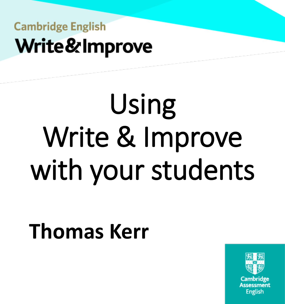# Using Write & Improve with your students

## **Thomas Kerr**

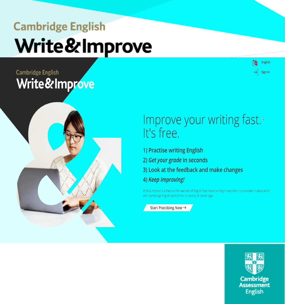#### **Cambridge English** Write&Improve



#### Improve your writing fast.<sup>®</sup> It's free.

- 1) Practise writing English
- 2) Get your grade in seconds
- 3) Look at the feedback and make changes
- 4) Keep improving!

Write & Improve is a free tool for learners of English that marks writing in seconds. It is provided in association with Cambridge English (part of the University of Cambridge).

Start Practising Now  $\rightarrow$ 



English

Sign In

'N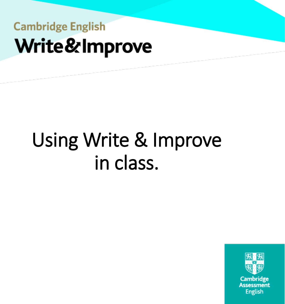## Using Write & Improve in class.

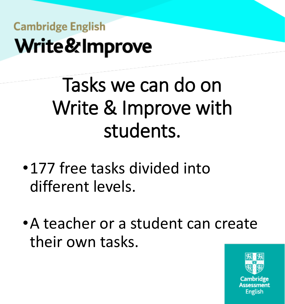## Tasks we can do on Write & Improve with students.

- •177 free tasks divided into different levels.
- •A teacher or a student can create their own tasks.

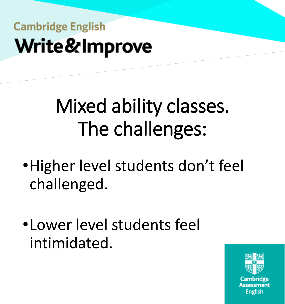## Mixed ability classes. The challenges:

- •Higher level students don't feel challenged.
- •Lower level students feel intimidated.

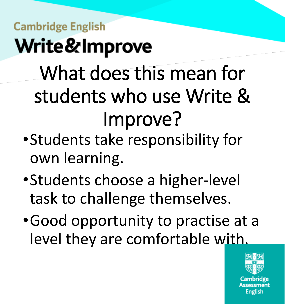## What does this mean for students who use Write & Improve?

- •Students take responsibility for own learning.
- •Students choose a higher-level task to challenge themselves.
- •Good opportunity to practise at a level they are comfortable with.

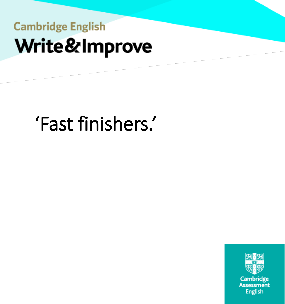## 'Fast finishers.'

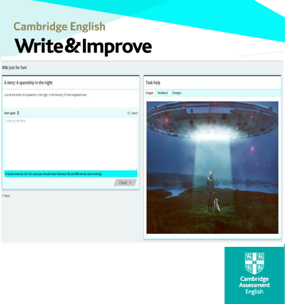#### W&I Just for fun!

| Look at the photo of a spaceship in the night. Write the story of what happened next.    |          |
|------------------------------------------------------------------------------------------|----------|
| Start again                                                                              | CD Saved |
| Write your text here.                                                                    |          |
|                                                                                          |          |
|                                                                                          |          |
|                                                                                          |          |
|                                                                                          |          |
|                                                                                          |          |
| 0 words entered. For this task you should enter between 50 and 500 words. Start writing! |          |



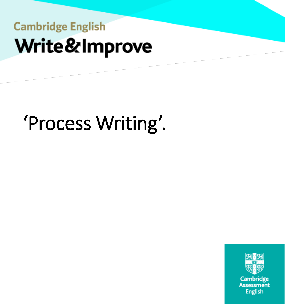## 'Process Writing'.

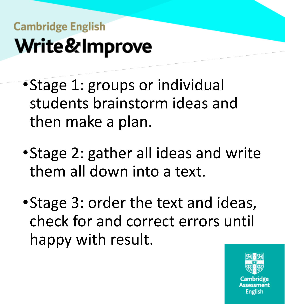- •Stage 1: groups or individual students brainstorm ideas and then make a plan.
- •Stage 2: gather all ideas and write them all down into a text.
- •Stage 3: order the text and ideas, check for and correct errors until happy with result.

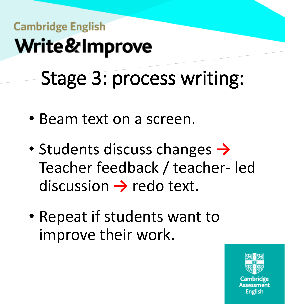## **Cambridge English** Write&Improve Stage 3: process writing:

- Beam text on a screen.
- Students discuss changes **→** Teacher feedback / teacher- led discussion → redo text.
- Repeat if students want to improve their work.

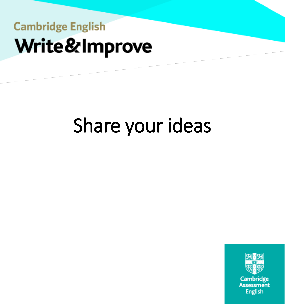## Share your ideas

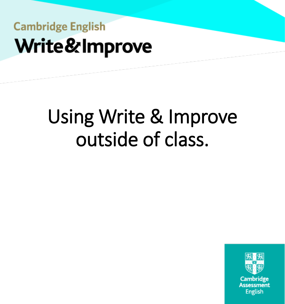## Using Write & Improve outside of class.

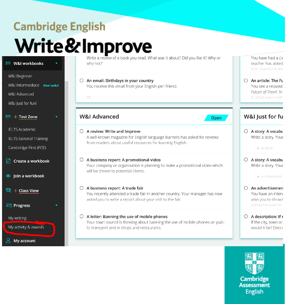#### **Cambridge English** Write & Improve a review of a book you read. What was it about? Did you like it? Why or

| $\equiv$ W&I workbooks                                                           | Write a review of a book you read. What was it about? Did you like it? Why or<br>why not?                                                                                              | You have had a cla<br>teacher has asked<br>tion: Exercise is imc                                |
|----------------------------------------------------------------------------------|----------------------------------------------------------------------------------------------------------------------------------------------------------------------------------------|-------------------------------------------------------------------------------------------------|
| W&I Beginner<br>W&I Intermediate New tasks!<br>W&I Advanced<br>W&I Just for fun! | An email: Birthdays in your country<br>You receive this email from your English pen friend:<br>Hi,                                                                                     | $\bigcirc$ An article: The Fu<br>You see a request<br>Future of Travel. In<br>In what ways migh |
| $\equiv{}+$ Test Zone                                                            | <b>W&amp;I Advanced</b><br>Open                                                                                                                                                        | W&I Just for fu                                                                                 |
| <b>IELTS Academic</b><br><b>IELTS General Training</b><br>Cambridge First (FCE)  | A review: Write and Improve<br>$\circ$<br>A well-known magazine for English language learners has asked for reviews<br>from readers about useful resources for learning English.       | $\bigcirc$ A story: A vocabu<br>Write a story. Your<br>· mutter                                 |
| Create a workbook<br>$\mathsf{H}^+$<br><b>&amp; Join a workbook</b>              | A business report: A promotional video<br>$\circ$<br>Your company or organisation is planning to make a promotional video which<br>will be shown to potential clients.                 | $\bigcirc$ A story: A vocabu<br>Write a story. Your<br>· an elephant                            |
| ට $+$ Class View<br><b>E</b> ⊙ Progress                                          | $\bigcirc$ A business report: A trade fair<br>You recently attended a trade fair in another country. Your manager has now<br>asked you to write a report about your visit to the fair. | An advertisemen<br>You have an interv<br>asks you to show t<br>someone want to                  |
| My writing<br>My activity & awards                                               | $\bigcirc$ A letter: Banning the use of mobile phones<br>Your town council is thinking about banning the use of mobile phones on pub-<br>lic transport and in shops and restaurants.   | $\bigcirc$ A description: If r<br>If the city, town or<br>would it be? Descr                    |
| $\leq$ My account                                                                |                                                                                                                                                                                        |                                                                                                 |

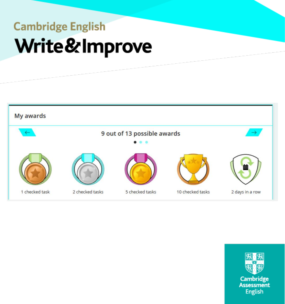

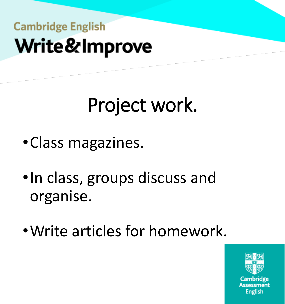## Project work.

- •Class magazines.
- •In class, groups discuss and organise.
- •Write articles for homework.

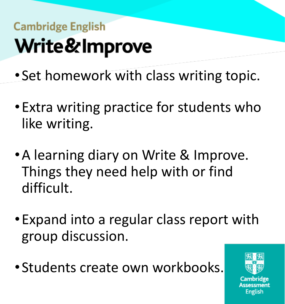- Set homework with class writing topic.
- •Extra writing practice for students who like writing.
- •A learning diary on Write & Improve. Things they need help with or find difficult.
- •Expand into a regular class report with group discussion.
- Students create own workbooks.

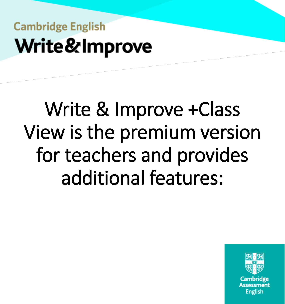## Write & Improve +Class View is the premium version for teachers and provides additional features:

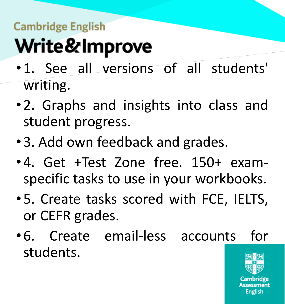- •1. See all versions of all students' writing.
- •2. Graphs and insights into class and student progress.
- •3. Add own feedback and grades.
- •4. Get +Test Zone free. 150+ examspecific tasks to use in your workbooks.
- •5. Create tasks scored with FCE, IELTS, or CEFR grades.
- •6. Create email-less accounts for students.

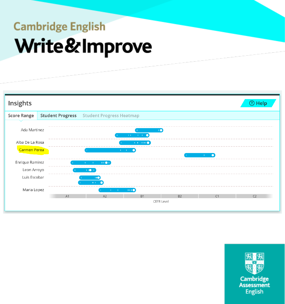

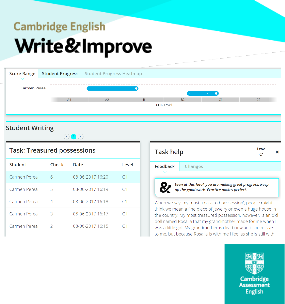

#### **Student Writing**



#### **Task: Treasured possessions**

| <b>Student</b> | Check         | Date             | Level          |
|----------------|---------------|------------------|----------------|
| Carmen Perea   | 6             | 08-06-2017 16:20 | C1             |
| Carmen Perea   | 5             | 08-06-2017 16:19 | C1             |
| Carmen Perea   | 4             | 08-06-2017 16:18 | C <sub>1</sub> |
| Carmen Perea   | 3             | 08-06-2017 16:17 | C <sub>1</sub> |
| Carmen Perea   | $\mathcal{P}$ | 08-06-2017 16:15 |                |
|                |               |                  |                |

| Task help |                                                                                                      | Level<br>C <sub>1</sub> |  |
|-----------|------------------------------------------------------------------------------------------------------|-------------------------|--|
| Feedback  | Changes                                                                                              |                         |  |
|           |                                                                                                      |                         |  |
|           | Even at this level, you are making great progress. Keep<br>up the good work. Practice makes perfect. |                         |  |

When we say 'my most treasured possession', people might think we mean a fine piece of jewelry or even a huge house in the country. My most treasured possession, however, is an old doll named Rosalia that my grandmother made for me when I was a little girl. My grandmother is dead now and she misses to me, but because Rosalia is with me I feel as she is still with